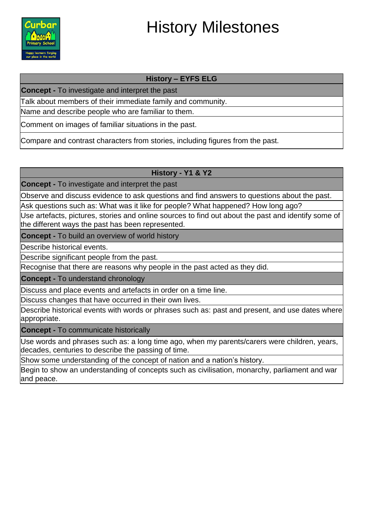

# History Milestones

## **History – EYFS ELG**

**Concept -** To investigate and interpret the past

Talk about members of their immediate family and community.

Name and describe people who are familiar to them.

Comment on images of familiar situations in the past.

Compare and contrast characters from stories, including figures from the past.

## **History - Y1 & Y2**

**Concept -** To investigate and interpret the past

Observe and discuss evidence to ask questions and find answers to questions about the past.

Ask questions such as: What was it like for people? What happened? How long ago?

Use artefacts, pictures, stories and online sources to find out about the past and identify some of the different ways the past has been represented.

**Concept -** To build an overview of world history

Describe historical events.

Describe significant people from the past.

Recognise that there are reasons why people in the past acted as they did.

**Concept -** To understand chronology

Discuss and place events and artefacts in order on a time line.

Discuss changes that have occurred in their own lives.

Describe historical events with words or phrases such as: past and present, and use dates where appropriate.

**Concept -** To communicate historically

Use words and phrases such as: a long time ago, when my parents/carers were children, years, decades, centuries to describe the passing of time.

Show some understanding of the concept of nation and a nation's history.

Begin to show an understanding of concepts such as civilisation, monarchy, parliament and war and peace.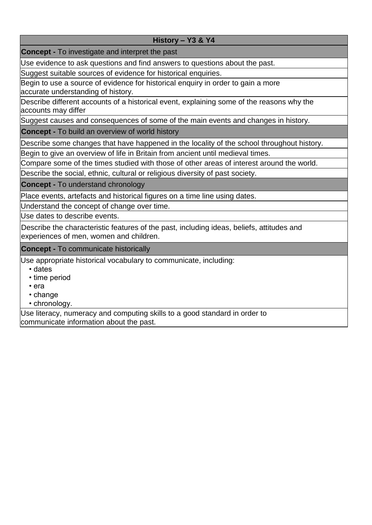#### **History – Y3 & Y4**

**Concept -** To investigate and interpret the past

Use evidence to ask questions and find answers to questions about the past.

Suggest suitable sources of evidence for historical enquiries.

Begin to use a source of evidence for historical enquiry in order to gain a more accurate understanding of history.

Describe different accounts of a historical event, explaining some of the reasons why the accounts may differ

Suggest causes and consequences of some of the main events and changes in history.

**Concept -** To build an overview of world history

Describe some changes that have happened in the locality of the school throughout history.

Begin to give an overview of life in Britain from ancient until medieval times.

Compare some of the times studied with those of other areas of interest around the world.

Describe the social, ethnic, cultural or religious diversity of past society.

**Concept -** To understand chronology

Place events, artefacts and historical figures on a time line using dates.

Understand the concept of change over time.

Use dates to describe events.

Describe the characteristic features of the past, including ideas, beliefs, attitudes and experiences of men, women and children.

**Concept -** To communicate historically

Use appropriate historical vocabulary to communicate, including:

- dates
- time period
- era
- change
- chronology.

Use literacy, numeracy and computing skills to a good standard in order to communicate information about the past.